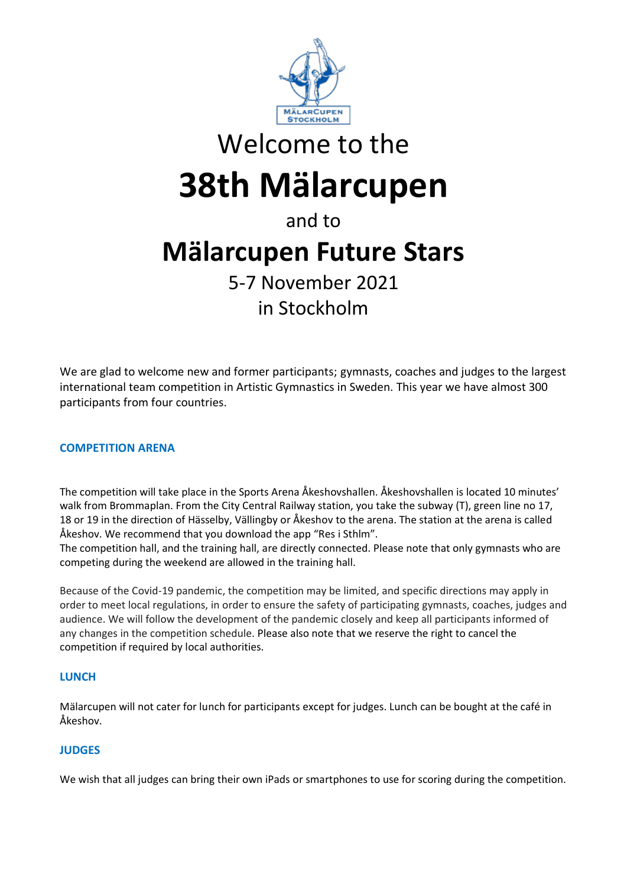

# Welcome to the **38th Mälarcupen**

# and to **Mälarcupen Future Stars** 5-7 November 2021 in Stockholm

We are glad to welcome new and former participants; gymnasts, coaches and judges to the largest international team competition in Artistic Gymnastics in Sweden. This year we have almost 300 participants from four countries.

# **COMPETITION ARENA**

The competition will take place in the Sports Arena Åkeshovshallen. Åkeshovshallen is located 10 minutes' walk from Brommaplan. From the City Central Railway station, you take the subway (T), green line no 17, 18 or 19 in the direction of Hässelby, Vällingby or Åkeshov to the arena. The station at the arena is called Åkeshov. We recommend that you download the app "Res i Sthlm".

The competition hall, and the training hall, are directly connected. Please note that only gymnasts who are competing during the weekend are allowed in the training hall.

Because of the Covid-19 pandemic, the competition may be limited, and specific directions may apply in order to meet local regulations, in order to ensure the safety of participating gymnasts, coaches, judges and audience. We will follow the development of the pandemic closely and keep all participants informed of any changes in the competition schedule. Please also note that we reserve the right to cancel the competition if required by local authorities.

## **LUNCH**

Mälarcupen will not cater for lunch for participants except for judges. Lunch can be bought at the café in Åkeshov.

# **JUDGES**

We wish that all judges can bring their own iPads or smartphones to use for scoring during the competition.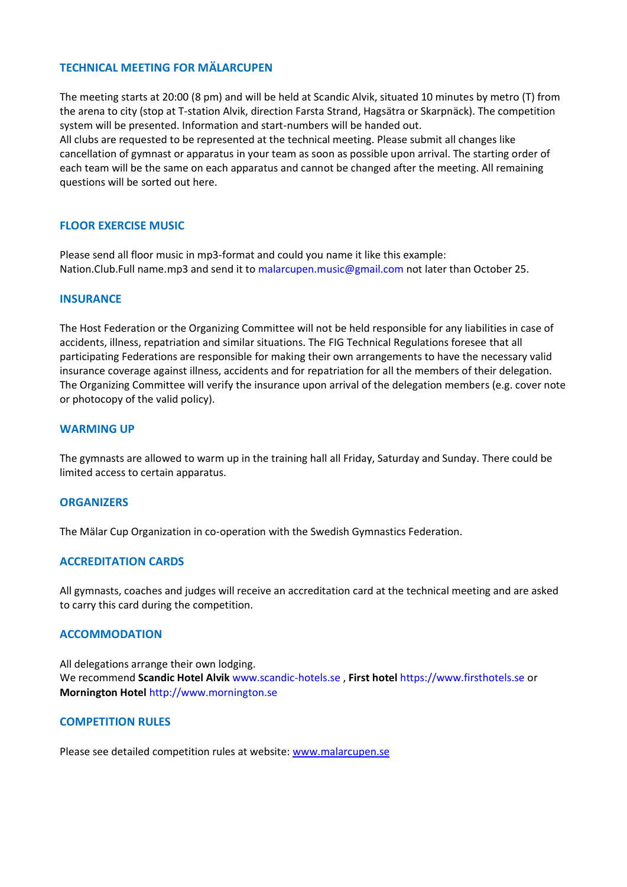#### **TECHNICAL MEETING FOR MÄLARCUPEN**

The meeting starts at 20:00 (8 pm) and will be held at Scandic Alvik, situated 10 minutes by metro (T) from the arena to city (stop at T-station Alvik, direction Farsta Strand, Hagsätra or Skarpnäck). The competition system will be presented. Information and start-numbers will be handed out. All clubs are requested to be represented at the technical meeting. Please submit all changes like cancellation of gymnast or apparatus in your team as soon as possible upon arrival. The starting order of each team will be the same on each apparatus and cannot be changed after the meeting. All remaining questions will be sorted out here.

#### **FLOOR EXERCISE MUSIC**

Please send all floor music in mp3-format and could you name it like this example: Nation.Club.Full name.mp3 and send it to malarcupen.music@gmail.com not later than October 25.

#### **INSURANCE**

The Host Federation or the Organizing Committee will not be held responsible for any liabilities in case of accidents, illness, repatriation and similar situations. The FIG Technical Regulations foresee that all participating Federations are responsible for making their own arrangements to have the necessary valid insurance coverage against illness, accidents and for repatriation for all the members of their delegation. The Organizing Committee will verify the insurance upon arrival of the delegation members (e.g. cover note or photocopy of the valid policy).

#### **WARMING UP**

The gymnasts are allowed to warm up in the training hall all Friday, Saturday and Sunday. There could be limited access to certain apparatus.

#### **ORGANIZERS**

The Mälar Cup Organization in co-operation with the Swedish Gymnastics Federation.

#### **ACCREDITATION CARDS**

All gymnasts, coaches and judges will receive an accreditation card at the technical meeting and are asked to carry this card during the competition.

#### **ACCOMMODATION**

All delegations arrange their own lodging. We recommend **Scandic Hotel Alvik** www.scandic-hotels.se , **First hotel** https://www.firsthotels.se or **Mornington Hotel** http://www.mornington.se

#### **COMPETITION RULES**

Please see detailed competition rules at website: [www.malarcupen.se](http://www.malarcupen.se/)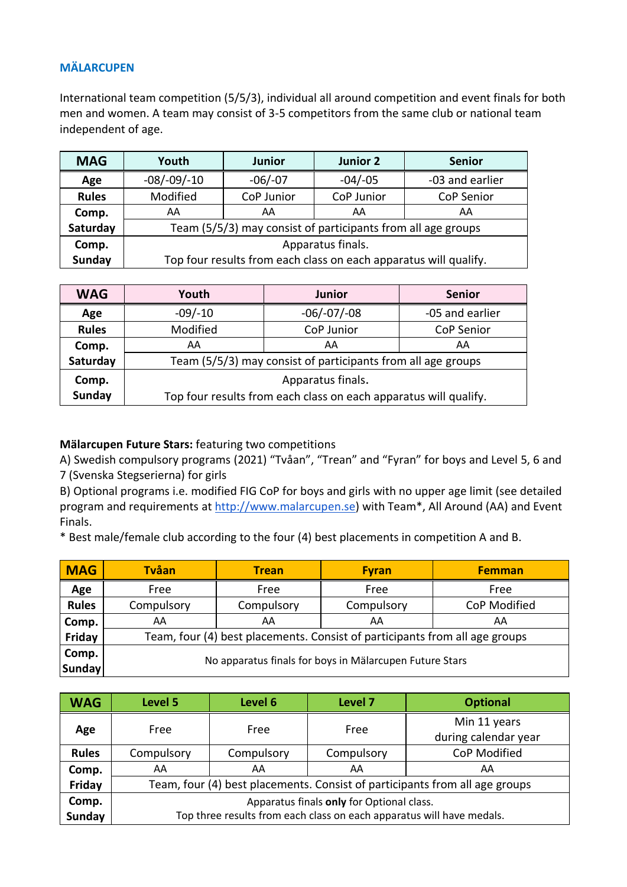# **MÄLARCUPEN**

International team competition (5/5/3), individual all around competition and event finals for both men and women. A team may consist of 3-5 competitors from the same club or national team independent of age.

| <b>MAG</b>    | Youth                                                            | <b>Junior</b> | Junior 2   | <b>Senior</b>     |
|---------------|------------------------------------------------------------------|---------------|------------|-------------------|
| Age           | $-08/-09/-10$                                                    | $-06/-07$     | $-04/-05$  | -03 and earlier   |
| <b>Rules</b>  | Modified                                                         | CoP Junior    | CoP Junior | <b>CoP Senior</b> |
| Comp.         | AA                                                               | AA            | AA         | AA                |
| Saturday      | Team (5/5/3) may consist of participants from all age groups     |               |            |                   |
| Comp.         | Apparatus finals.                                                |               |            |                   |
| <b>Sunday</b> | Top four results from each class on each apparatus will qualify. |               |            |                   |

| <b>WAG</b>    | Youth                                                            | <b>Junior</b> | <b>Senior</b>   |  |  |
|---------------|------------------------------------------------------------------|---------------|-----------------|--|--|
| Age           | $-09/-10$                                                        | $-06/-07/-08$ | -05 and earlier |  |  |
| <b>Rules</b>  | Modified                                                         | CoP Junior    | CoP Senior      |  |  |
| Comp.         | AA                                                               | AA            | AA              |  |  |
| Saturday      | Team (5/5/3) may consist of participants from all age groups     |               |                 |  |  |
| Comp.         | Apparatus finals.                                                |               |                 |  |  |
| <b>Sunday</b> | Top four results from each class on each apparatus will qualify. |               |                 |  |  |

## **Mälarcupen Future Stars:** featuring two competitions

A) Swedish compulsory programs (2021) "Tvåan", "Trean" and "Fyran" for boys and Level 5, 6 and 7 (Svenska Stegserierna) for girls

B) Optional programs i.e. modified FIG CoP for boys and girls with no upper age limit (see detailed program and requirements at [http://www.malarcupen.se\)](http://www.malarcupen.se/) with Team\*, All Around (AA) and Event Finals.

\* Best male/female club according to the four (4) best placements in competition A and B.

| <b>MAG</b>    | <b>Tvåan</b>                                                                | <b>Trean</b> | <b>Fyran</b> | <b>Femman</b> |  |
|---------------|-----------------------------------------------------------------------------|--------------|--------------|---------------|--|
| Age           | Free                                                                        | Free         | Free         | Free          |  |
| <b>Rules</b>  | Compulsory                                                                  | Compulsory   | Compulsory   | CoP Modified  |  |
| Comp.         | AA                                                                          | AA           | AA           | AA            |  |
| Friday        | Team, four (4) best placements. Consist of participants from all age groups |              |              |               |  |
| Comp.         |                                                                             |              |              |               |  |
| <b>Sunday</b> | No apparatus finals for boys in Mälarcupen Future Stars                     |              |              |               |  |

| <b>WAG</b>   | Level 5                                                                     | Level 6    | Level 7    | <b>Optional</b>                      |  |
|--------------|-----------------------------------------------------------------------------|------------|------------|--------------------------------------|--|
| Age          | Free                                                                        | Free       | Free       | Min 11 years<br>during calendar year |  |
| <b>Rules</b> | Compulsory                                                                  | Compulsory | Compulsory | CoP Modified                         |  |
| Comp.        | AA                                                                          | AA         | AA         | AA                                   |  |
| Friday       | Team, four (4) best placements. Consist of participants from all age groups |            |            |                                      |  |
| Comp.        | Apparatus finals only for Optional class.                                   |            |            |                                      |  |
| Sunday       | Top three results from each class on each apparatus will have medals.       |            |            |                                      |  |